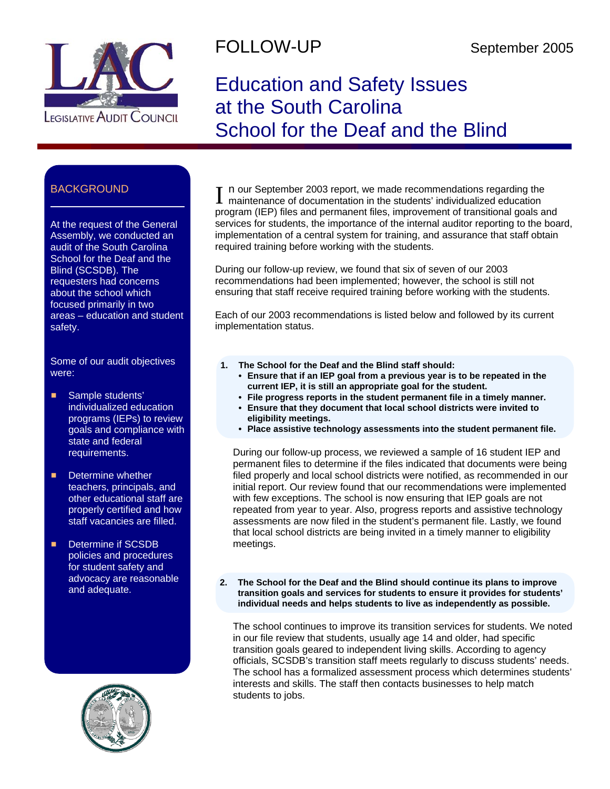

## FOLLOW-UP September 2005

# Education and Safety Issues at the South Carolina School for the Deaf and the Blind

### **BACKGROUND**

At the request of the General Assembly, we conducted an audit of the South Carolina School for the Deaf and the Blind (SCSDB). The requesters had concerns about the school which focused primarily in two areas – education and student safety.

Some of our audit objectives were:

- **E** Sample students' individualized education programs (IEPs) to review goals and compliance with state and federal requirements.
- $\blacksquare$  Determine whether teachers, principals, and other educational staff are properly certified and how staff vacancies are filled.
- **E** Determine if SCSDB policies and procedures for student safety and advocacy are reasonable and adequate.



I n our September 2003 report, we made recommendations regarding the maintenance of documentation in the students' individualized education program (IEP) files and permanent files, improvement of transitional goals and services for students, the importance of the internal auditor reporting to the board, implementation of a central system for training, and assurance that staff obtain required training before working with the students.

During our follow-up review, we found that six of seven of our 2003 recommendations had been implemented; however, the school is still not ensuring that staff receive required training before working with the students.

Each of our 2003 recommendations is listed below and followed by its current implementation status.

- **1. The School for the Deaf and the Blind staff should:** 
	- **Ensure that if an IEP goal from a previous year is to be repeated in the current IEP, it is still an appropriate goal for the student.**
	- **File progress reports in the student permanent file in a timely manner.**
	- **Ensure that they document that local school districts were invited to eligibility meetings.**
	- **Place assistive technology assessments into the student permanent file.**

During our follow-up process, we reviewed a sample of 16 student IEP and permanent files to determine if the files indicated that documents were being filed properly and local school districts were notified, as recommended in our initial report. Our review found that our recommendations were implemented with few exceptions. The school is now ensuring that IEP goals are not repeated from year to year. Also, progress reports and assistive technology assessments are now filed in the student's permanent file. Lastly, we found that local school districts are being invited in a timely manner to eligibility meetings.

**2. The School for the Deaf and the Blind should continue its plans to improve transition goals and services for students to ensure it provides for students' individual needs and helps students to live as independently as possible.**

The school continues to improve its transition services for students. We noted in our file review that students, usually age 14 and older, had specific transition goals geared to independent living skills. According to agency officials, SCSDB's transition staff meets regularly to discuss students' needs. The school has a formalized assessment process which determines students' interests and skills. The staff then contacts businesses to help match students to jobs.